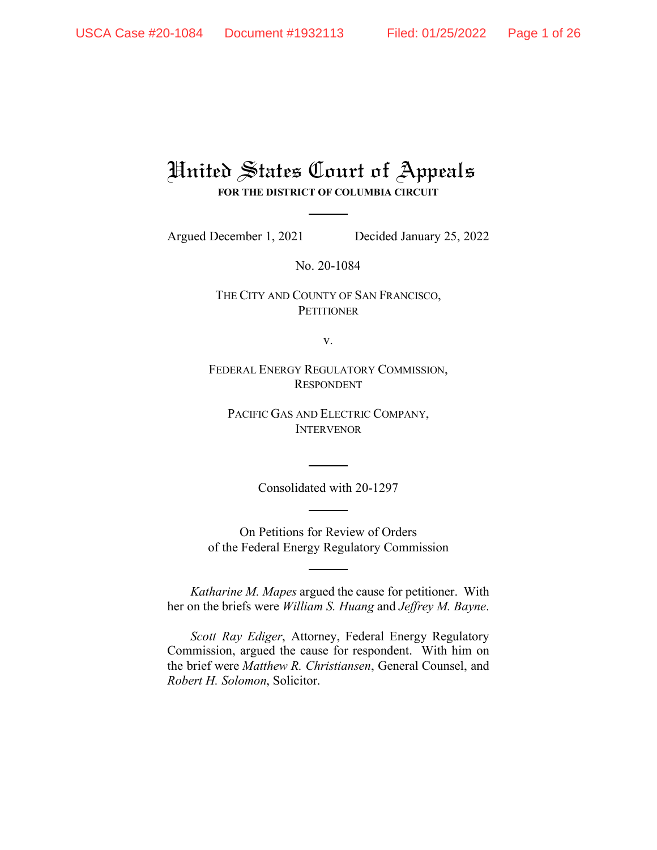# United States Court of Appeals **FOR THE DISTRICT OF COLUMBIA CIRCUIT**

Argued December 1, 2021 Decided January 25, 2022

No. 20-1084

THE CITY AND COUNTY OF SAN FRANCISCO, **PETITIONER** 

v.

FEDERAL ENERGY REGULATORY COMMISSION, RESPONDENT

PACIFIC GAS AND ELECTRIC COMPANY, INTERVENOR

Consolidated with 20-1297

On Petitions for Review of Orders of the Federal Energy Regulatory Commission

*Katharine M. Mapes* argued the cause for petitioner. With her on the briefs were *William S. Huang* and *Jeffrey M. Bayne*.

*Scott Ray Ediger*, Attorney, Federal Energy Regulatory Commission, argued the cause for respondent. With him on the brief were *Matthew R. Christiansen*, General Counsel, and *Robert H. Solomon*, Solicitor.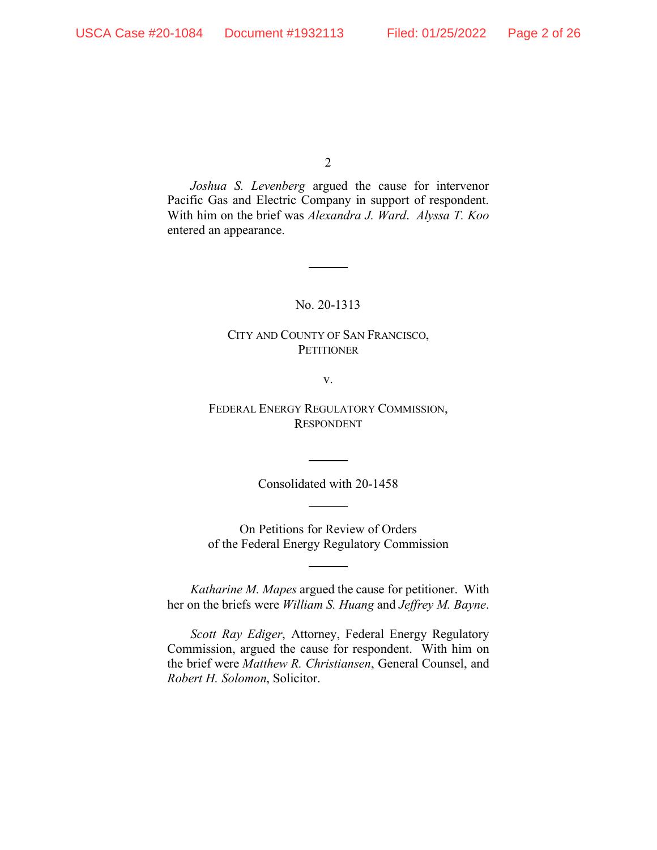*Joshua S. Levenberg* argued the cause for intervenor Pacific Gas and Electric Company in support of respondent. With him on the brief was *Alexandra J. Ward*. *Alyssa T. Koo* entered an appearance.

## No. 20-1313

## CITY AND COUNTY OF SAN FRANCISCO, **PETITIONER**

v.

FEDERAL ENERGY REGULATORY COMMISSION, RESPONDENT

Consolidated with 20-1458

On Petitions for Review of Orders of the Federal Energy Regulatory Commission

*Katharine M. Mapes* argued the cause for petitioner. With her on the briefs were *William S. Huang* and *Jeffrey M. Bayne*.

*Scott Ray Ediger*, Attorney, Federal Energy Regulatory Commission, argued the cause for respondent. With him on the brief were *Matthew R. Christiansen*, General Counsel, and *Robert H. Solomon*, Solicitor.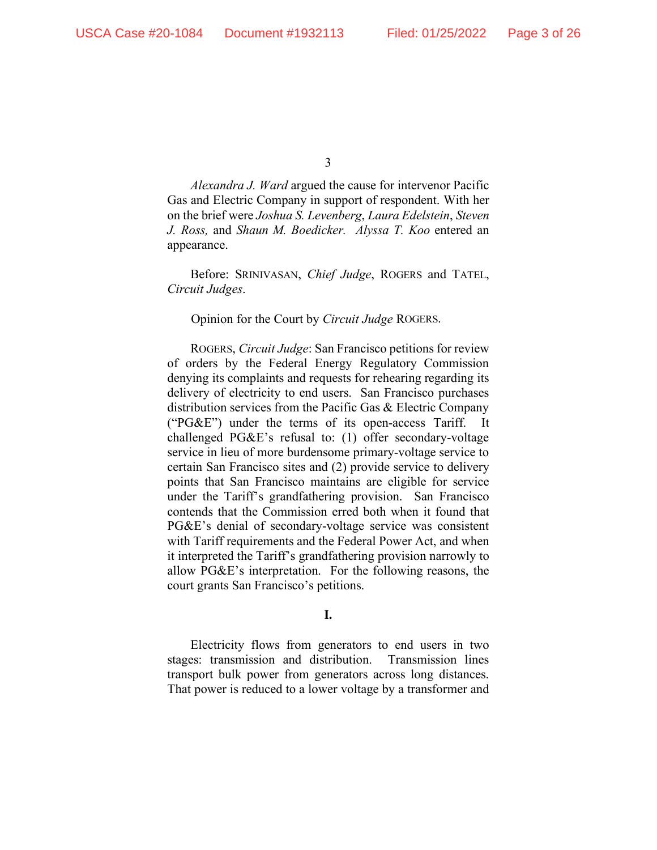*Alexandra J. Ward* argued the cause for intervenor Pacific Gas and Electric Company in support of respondent. With her on the brief were *Joshua S. Levenberg*, *Laura Edelstein*, *Steven J. Ross,* and *Shaun M. Boedicker. Alyssa T. Koo* entered an appearance.

Before: SRINIVASAN, *Chief Judge*, ROGERS and TATEL, *Circuit Judges*.

Opinion for the Court by *Circuit Judge* ROGERS.

ROGERS, *Circuit Judge*: San Francisco petitions for review of orders by the Federal Energy Regulatory Commission denying its complaints and requests for rehearing regarding its delivery of electricity to end users. San Francisco purchases distribution services from the Pacific Gas & Electric Company (" $PG\&E$ ") under the terms of its open-access Tariff. challenged PG&E's refusal to: (1) offer secondary-voltage service in lieu of more burdensome primary-voltage service to certain San Francisco sites and (2) provide service to delivery points that San Francisco maintains are eligible for service under the Tariff's grandfathering provision. San Francisco contends that the Commission erred both when it found that PG&E's denial of secondary-voltage service was consistent with Tariff requirements and the Federal Power Act, and when it interpreted the Tariff's grandfathering provision narrowly to allow PG&E's interpretation. For the following reasons, the court grants San Francisco's petitions.

## **I.**

Electricity flows from generators to end users in two stages: transmission and distribution. Transmission lines transport bulk power from generators across long distances. That power is reduced to a lower voltage by a transformer and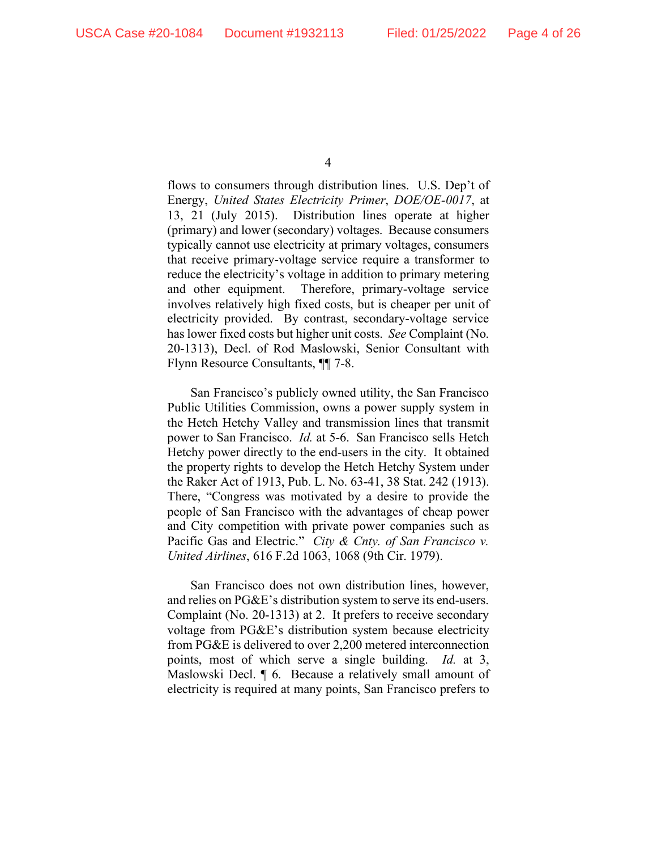flows to consumers through distribution lines. U.S. Dep't of Energy, *United States Electricity Primer*, *DOE/OE-0017*, at 13, 21 (July 2015). Distribution lines operate at higher (primary) and lower (secondary) voltages. Because consumers typically cannot use electricity at primary voltages, consumers that receive primary-voltage service require a transformer to reduce the electricity's voltage in addition to primary metering and other equipment. Therefore, primary-voltage service involves relatively high fixed costs, but is cheaper per unit of electricity provided. By contrast, secondary-voltage service has lower fixed costs but higher unit costs. *See* Complaint (No. 20-1313), Decl. of Rod Maslowski, Senior Consultant with Flynn Resource Consultants, ¶¶ 7-8.

San Francisco's publicly owned utility, the San Francisco Public Utilities Commission, owns a power supply system in the Hetch Hetchy Valley and transmission lines that transmit power to San Francisco. *Id.* at 5-6. San Francisco sells Hetch Hetchy power directly to the end-users in the city. It obtained the property rights to develop the Hetch Hetchy System under the Raker Act of 1913, Pub. L. No. 63-41, 38 Stat. 242 (1913). There, "Congress was motivated by a desire to provide the people of San Francisco with the advantages of cheap power and City competition with private power companies such as Pacific Gas and Electric." *City & Cnty. of San Francisco v. United Airlines*, 616 F.2d 1063, 1068 (9th Cir. 1979).

San Francisco does not own distribution lines, however, and relies on PG&E's distribution system to serve its end-users. Complaint (No. 20-1313) at 2. It prefers to receive secondary voltage from PG&E's distribution system because electricity from PG&E is delivered to over 2,200 metered interconnection points, most of which serve a single building. *Id.* at 3, Maslowski Decl. ¶ 6. Because a relatively small amount of electricity is required at many points, San Francisco prefers to

<sup>4</sup>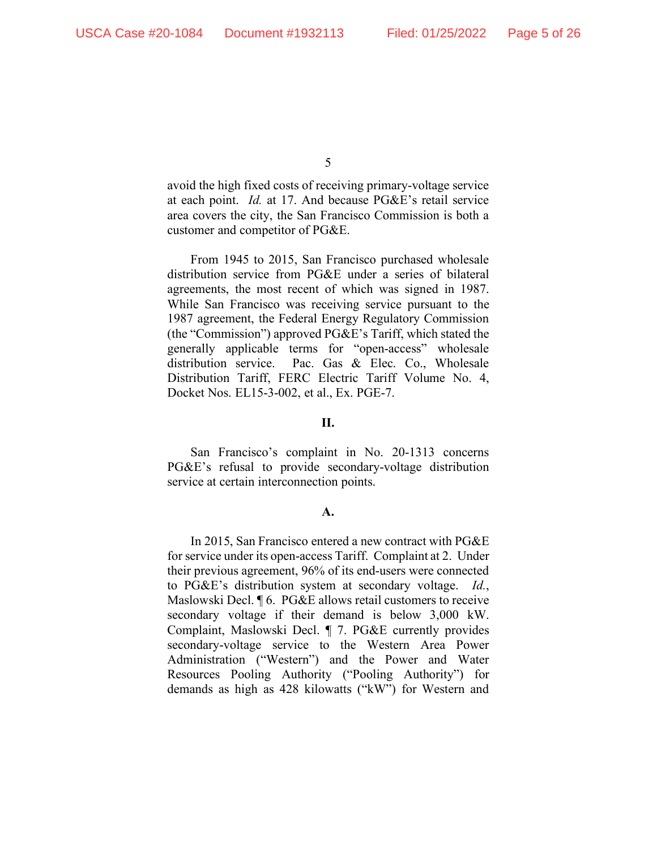avoid the high fixed costs of receiving primary-voltage service at each point. *Id.* at 17. And because PG&E's retail service area covers the city, the San Francisco Commission is both a customer and competitor of PG&E.

From 1945 to 2015, San Francisco purchased wholesale distribution service from PG&E under a series of bilateral agreements, the most recent of which was signed in 1987. While San Francisco was receiving service pursuant to the 1987 agreement, the Federal Energy Regulatory Commission (the "Commission") approved PG&E's Tariff, which stated the generally applicable terms for "open-access" wholesale distribution service. Pac. Gas & Elec. Co., Wholesale Distribution Tariff, FERC Electric Tariff Volume No. 4, Docket Nos. EL15-3-002, et al., Ex. PGE-7.

#### **II.**

San Francisco's complaint in No. 20-1313 concerns PG&E's refusal to provide secondary-voltage distribution service at certain interconnection points.

#### **A.**

In 2015, San Francisco entered a new contract with PG&E for service under its open-access Tariff. Complaint at 2. Under their previous agreement, 96% of its end-users were connected to PG&E's distribution system at secondary voltage. *Id.*, Maslowski Decl. ¶ 6. PG&E allows retail customers to receive secondary voltage if their demand is below 3,000 kW. Complaint, Maslowski Decl. ¶ 7. PG&E currently provides secondary-voltage service to the Western Area Power Administration ("Western") and the Power and Water Resources Pooling Authority ("Pooling Authority") for demands as high as 428 kilowatts ("kW") for Western and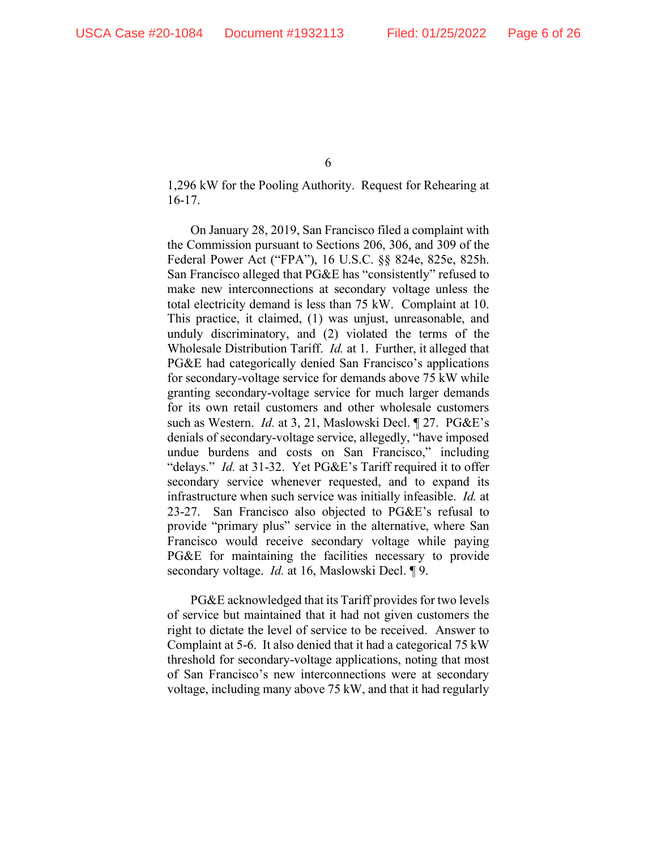1,296 kW for the Pooling Authority. Request for Rehearing at 16-17.

On January 28, 2019, San Francisco filed a complaint with the Commission pursuant to Sections 206, 306, and 309 of the Federal Power Act ("FPA"), 16 U.S.C. §§ 824e, 825e, 825h. San Francisco alleged that PG&E has "consistently" refused to make new interconnections at secondary voltage unless the total electricity demand is less than 75 kW. Complaint at 10. This practice, it claimed, (1) was unjust, unreasonable, and unduly discriminatory, and (2) violated the terms of the Wholesale Distribution Tariff. *Id.* at 1. Further, it alleged that PG&E had categorically denied San Francisco's applications for secondary-voltage service for demands above 75 kW while granting secondary-voltage service for much larger demands for its own retail customers and other wholesale customers such as Western. *Id.* at 3, 21, Maslowski Decl. ¶ 27. PG&E's denials of secondary-voltage service, allegedly, "have imposed undue burdens and costs on San Francisco," including "delays." *Id.* at 31-32. Yet PG&E's Tariff required it to offer secondary service whenever requested, and to expand its infrastructure when such service was initially infeasible. *Id.* at 23-27. San Francisco also objected to PG&E's refusal to provide "primary plus" service in the alternative, where San Francisco would receive secondary voltage while paying PG&E for maintaining the facilities necessary to provide secondary voltage. *Id.* at 16, Maslowski Decl. ¶ 9.

PG&E acknowledged that its Tariff provides for two levels of service but maintained that it had not given customers the right to dictate the level of service to be received. Answer to Complaint at 5-6. It also denied that it had a categorical 75 kW threshold for secondary-voltage applications, noting that most of San Francisco's new interconnections were at secondary voltage, including many above 75 kW, and that it had regularly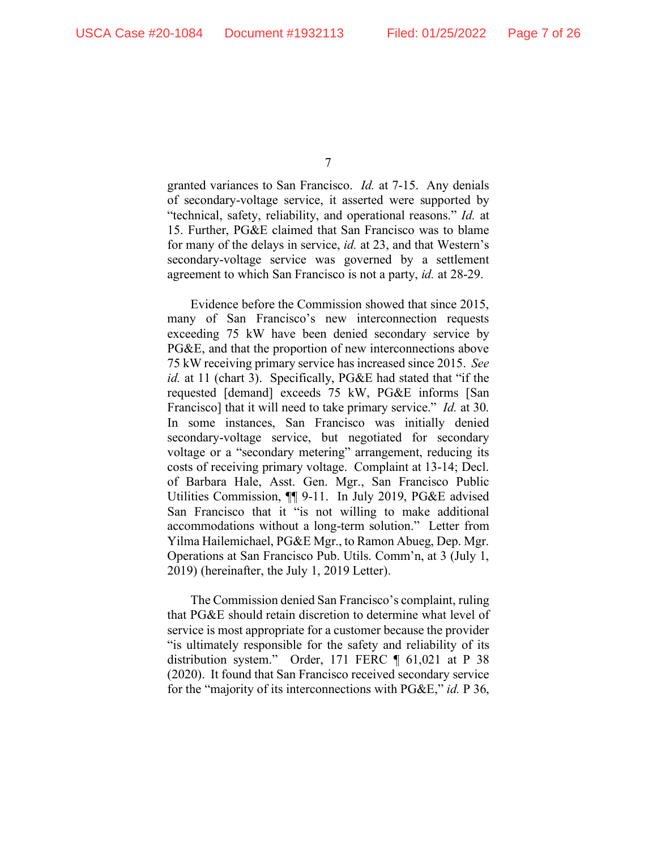granted variances to San Francisco. *Id.* at 7-15. Any denials of secondary-voltage service, it asserted were supported by "technical, safety, reliability, and operational reasons." *Id.* at 15. Further, PG&E claimed that San Francisco was to blame for many of the delays in service, *id.* at 23, and that Western's secondary-voltage service was governed by a settlement agreement to which San Francisco is not a party, *id.* at 28-29.

Evidence before the Commission showed that since 2015, many of San Francisco's new interconnection requests exceeding 75 kW have been denied secondary service by PG&E, and that the proportion of new interconnections above 75 kW receiving primary service has increased since 2015. *See id.* at 11 (chart 3). Specifically, PG&E had stated that "if the requested [demand] exceeds 75 kW, PG&E informs [San Francisco] that it will need to take primary service." *Id.* at 30. In some instances, San Francisco was initially denied secondary-voltage service, but negotiated for secondary voltage or a "secondary metering" arrangement, reducing its costs of receiving primary voltage. Complaint at 13-14; Decl. of Barbara Hale, Asst. Gen. Mgr., San Francisco Public Utilities Commission, ¶¶ 9-11. In July 2019, PG&E advised San Francisco that it "is not willing to make additional accommodations without a long-term solution." Letter from Yilma Hailemichael, PG&E Mgr., to Ramon Abueg, Dep. Mgr. Operations at San Francisco Pub. Utils. Comm'n, at 3 (July 1, 2019) (hereinafter, the July 1, 2019 Letter).

The Commission denied San Francisco's complaint, ruling that PG&E should retain discretion to determine what level of service is most appropriate for a customer because the provider "is ultimately responsible for the safety and reliability of its distribution system." Order, 171 FERC ¶ 61,021 at P 38 (2020). It found that San Francisco received secondary service for the "majority of its interconnections with PG&E," *id.* P 36,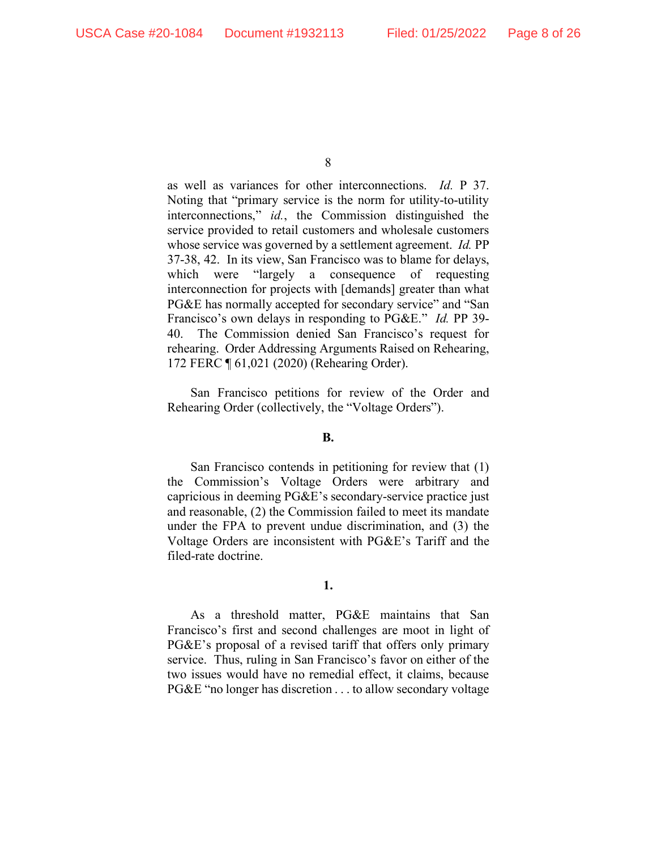as well as variances for other interconnections. *Id.* P 37. Noting that "primary service is the norm for utility-to-utility interconnections," *id.*, the Commission distinguished the service provided to retail customers and wholesale customers whose service was governed by a settlement agreement. *Id.* PP 37-38, 42. In its view, San Francisco was to blame for delays, which were "largely a consequence of requesting interconnection for projects with [demands] greater than what PG&E has normally accepted for secondary service" and "San Francisco's own delays in responding to PG&E." *Id.* PP 39- 40. The Commission denied San Francisco's request for rehearing. Order Addressing Arguments Raised on Rehearing, 172 FERC ¶ 61,021 (2020) (Rehearing Order).

San Francisco petitions for review of the Order and Rehearing Order (collectively, the "Voltage Orders").

### **B.**

San Francisco contends in petitioning for review that (1) the Commission's Voltage Orders were arbitrary and capricious in deeming PG&E's secondary-service practice just and reasonable, (2) the Commission failed to meet its mandate under the FPA to prevent undue discrimination, and (3) the Voltage Orders are inconsistent with PG&E's Tariff and the filed-rate doctrine.

## **1.**

As a threshold matter, PG&E maintains that San Francisco's first and second challenges are moot in light of PG&E's proposal of a revised tariff that offers only primary service. Thus, ruling in San Francisco's favor on either of the two issues would have no remedial effect, it claims, because PG&E "no longer has discretion . . . to allow secondary voltage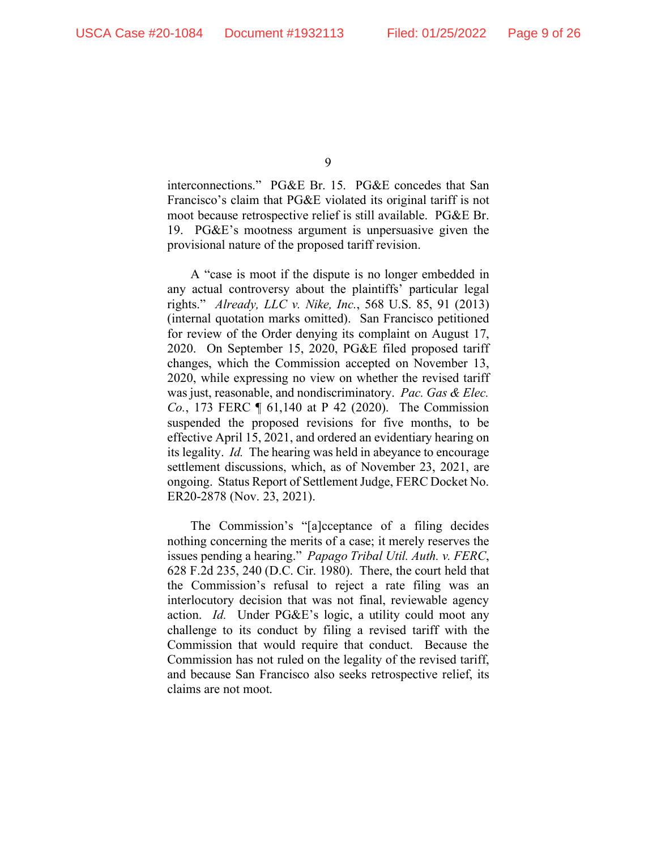interconnections." PG&E Br. 15. PG&E concedes that San Francisco's claim that PG&E violated its original tariff is not moot because retrospective relief is still available. PG&E Br. 19. PG&E's mootness argument is unpersuasive given the provisional nature of the proposed tariff revision.

A "case is moot if the dispute is no longer embedded in any actual controversy about the plaintiffs' particular legal rights." *Already, LLC v. Nike, Inc.*, 568 U.S. 85, 91 (2013) (internal quotation marks omitted). San Francisco petitioned for review of the Order denying its complaint on August 17, 2020. On September 15, 2020, PG&E filed proposed tariff changes, which the Commission accepted on November 13, 2020, while expressing no view on whether the revised tariff was just, reasonable, and nondiscriminatory. *Pac. Gas & Elec. Co.*, 173 FERC ¶ 61,140 at P 42 (2020). The Commission suspended the proposed revisions for five months, to be effective April 15, 2021, and ordered an evidentiary hearing on its legality. *Id.* The hearing was held in abeyance to encourage settlement discussions, which, as of November 23, 2021, are ongoing. Status Report of Settlement Judge, FERC Docket No. ER20-2878 (Nov. 23, 2021).

The Commission's "[a]cceptance of a filing decides nothing concerning the merits of a case; it merely reserves the issues pending a hearing." *Papago Tribal Util. Auth. v. FERC*, 628 F.2d 235, 240 (D.C. Cir. 1980). There, the court held that the Commission's refusal to reject a rate filing was an interlocutory decision that was not final, reviewable agency action. *Id.* Under PG&E's logic, a utility could moot any challenge to its conduct by filing a revised tariff with the Commission that would require that conduct. Because the Commission has not ruled on the legality of the revised tariff, and because San Francisco also seeks retrospective relief, its claims are not moot.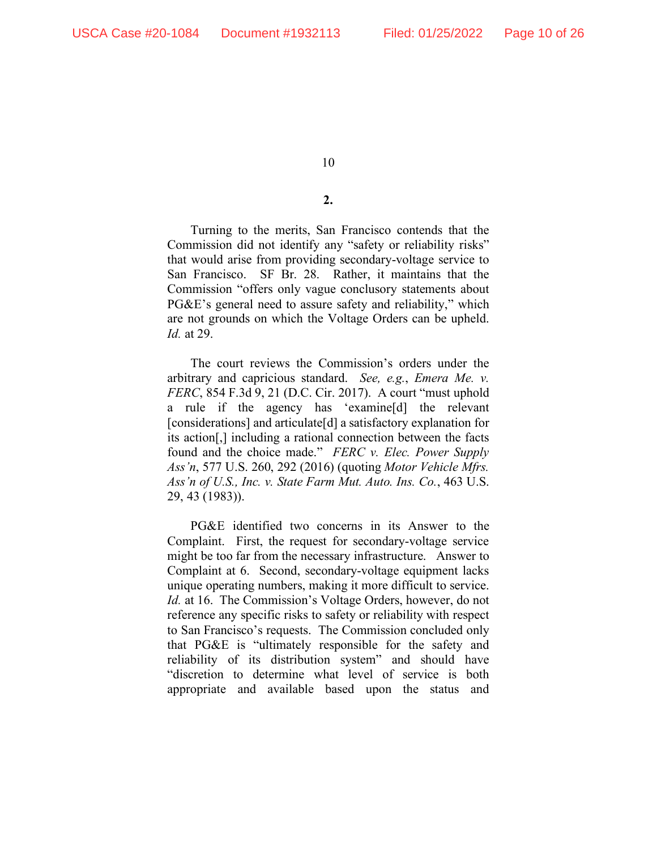# **2.**

Turning to the merits, San Francisco contends that the Commission did not identify any "safety or reliability risks" that would arise from providing secondary-voltage service to San Francisco. SF Br. 28. Rather, it maintains that the Commission "offers only vague conclusory statements about PG&E's general need to assure safety and reliability," which are not grounds on which the Voltage Orders can be upheld. *Id.* at 29.

The court reviews the Commission's orders under the arbitrary and capricious standard. *See, e.g.*, *Emera Me. v. FERC*, 854 F.3d 9, 21 (D.C. Cir. 2017). A court "must uphold a rule if the agency has 'examine[d] the relevant [considerations] and articulate[d] a satisfactory explanation for its action[,] including a rational connection between the facts found and the choice made." *FERC v. Elec. Power Supply Ass'n*, 577 U.S. 260, 292 (2016) (quoting *Motor Vehicle Mfrs. Ass'n of U.S., Inc. v. State Farm Mut. Auto. Ins. Co.*, 463 U.S. 29, 43 (1983)).

PG&E identified two concerns in its Answer to the Complaint. First, the request for secondary-voltage service might be too far from the necessary infrastructure. Answer to Complaint at 6. Second, secondary-voltage equipment lacks unique operating numbers, making it more difficult to service. *Id.* at 16. The Commission's Voltage Orders, however, do not reference any specific risks to safety or reliability with respect to San Francisco's requests. The Commission concluded only that PG&E is "ultimately responsible for the safety and reliability of its distribution system" and should have "discretion to determine what level of service is both appropriate and available based upon the status and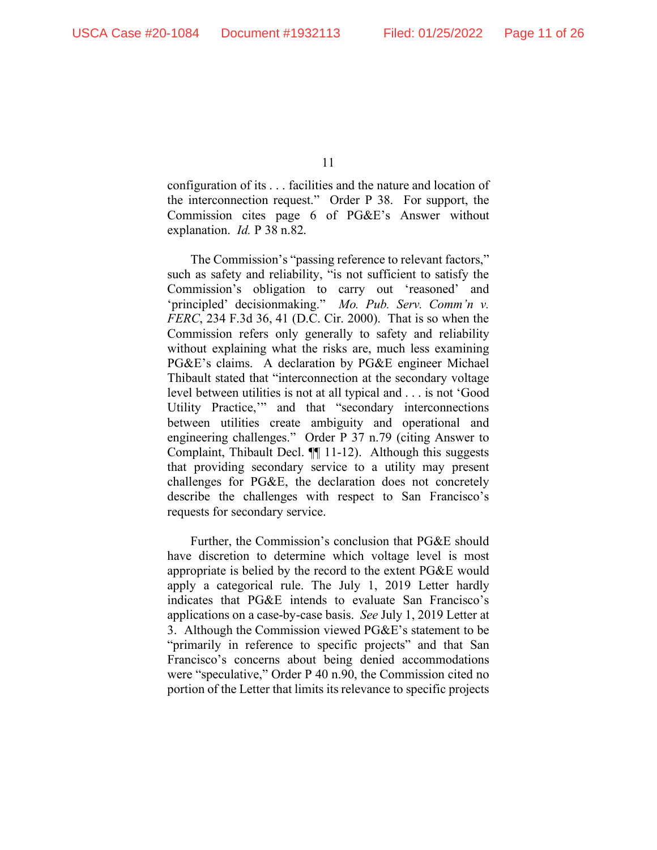configuration of its . . . facilities and the nature and location of the interconnection request." Order P 38. For support, the Commission cites page 6 of PG&E's Answer without explanation. *Id.* P 38 n.82.

The Commission's "passing reference to relevant factors," such as safety and reliability, "is not sufficient to satisfy the Commission's obligation to carry out 'reasoned' and 'principled' decisionmaking." *Mo. Pub. Serv. Comm'n v. FERC*, 234 F.3d 36, 41 (D.C. Cir. 2000). That is so when the Commission refers only generally to safety and reliability without explaining what the risks are, much less examining PG&E's claims. A declaration by PG&E engineer Michael Thibault stated that "interconnection at the secondary voltage level between utilities is not at all typical and . . . is not 'Good Utility Practice,'" and that "secondary interconnections between utilities create ambiguity and operational and engineering challenges." Order P 37 n.79 (citing Answer to Complaint, Thibault Decl. ¶¶ 11-12). Although this suggests that providing secondary service to a utility may present challenges for PG&E, the declaration does not concretely describe the challenges with respect to San Francisco's requests for secondary service.

Further, the Commission's conclusion that PG&E should have discretion to determine which voltage level is most appropriate is belied by the record to the extent PG&E would apply a categorical rule. The July 1, 2019 Letter hardly indicates that PG&E intends to evaluate San Francisco's applications on a case-by-case basis. *See* July 1, 2019 Letter at 3. Although the Commission viewed PG&E's statement to be "primarily in reference to specific projects" and that San Francisco's concerns about being denied accommodations were "speculative," Order P 40 n.90, the Commission cited no portion of the Letter that limits its relevance to specific projects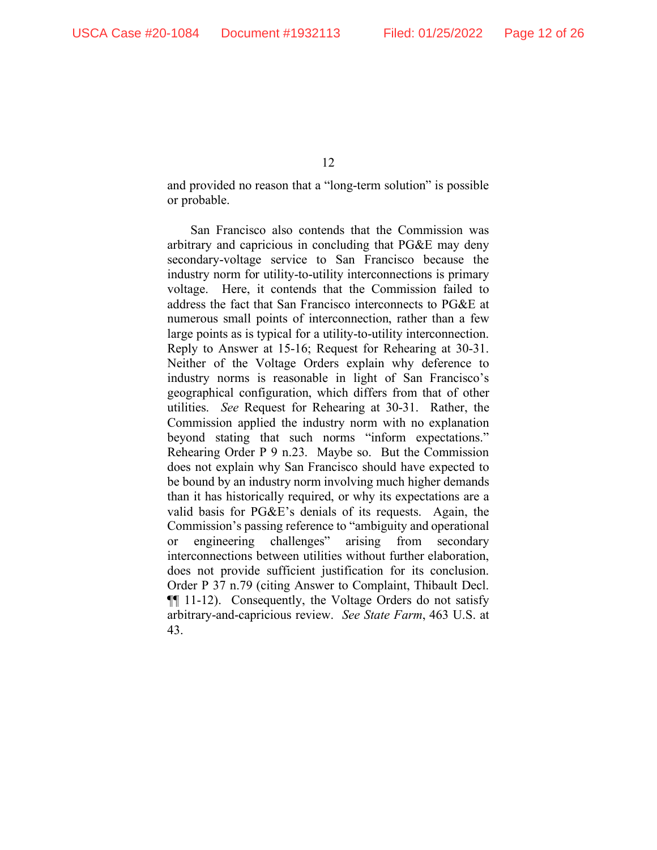and provided no reason that a "long-term solution" is possible or probable.

San Francisco also contends that the Commission was arbitrary and capricious in concluding that PG&E may deny secondary-voltage service to San Francisco because the industry norm for utility-to-utility interconnections is primary voltage. Here, it contends that the Commission failed to address the fact that San Francisco interconnects to PG&E at numerous small points of interconnection, rather than a few large points as is typical for a utility-to-utility interconnection. Reply to Answer at 15-16; Request for Rehearing at 30-31. Neither of the Voltage Orders explain why deference to industry norms is reasonable in light of San Francisco's geographical configuration, which differs from that of other utilities. *See* Request for Rehearing at 30-31. Rather, the Commission applied the industry norm with no explanation beyond stating that such norms "inform expectations." Rehearing Order P 9 n.23. Maybe so. But the Commission does not explain why San Francisco should have expected to be bound by an industry norm involving much higher demands than it has historically required, or why its expectations are a valid basis for PG&E's denials of its requests. Again, the Commission's passing reference to "ambiguity and operational or engineering challenges" arising from secondary interconnections between utilities without further elaboration, does not provide sufficient justification for its conclusion. Order P 37 n.79 (citing Answer to Complaint, Thibault Decl. ¶¶ 11-12). Consequently, the Voltage Orders do not satisfy arbitrary-and-capricious review. *See State Farm*, 463 U.S. at 43.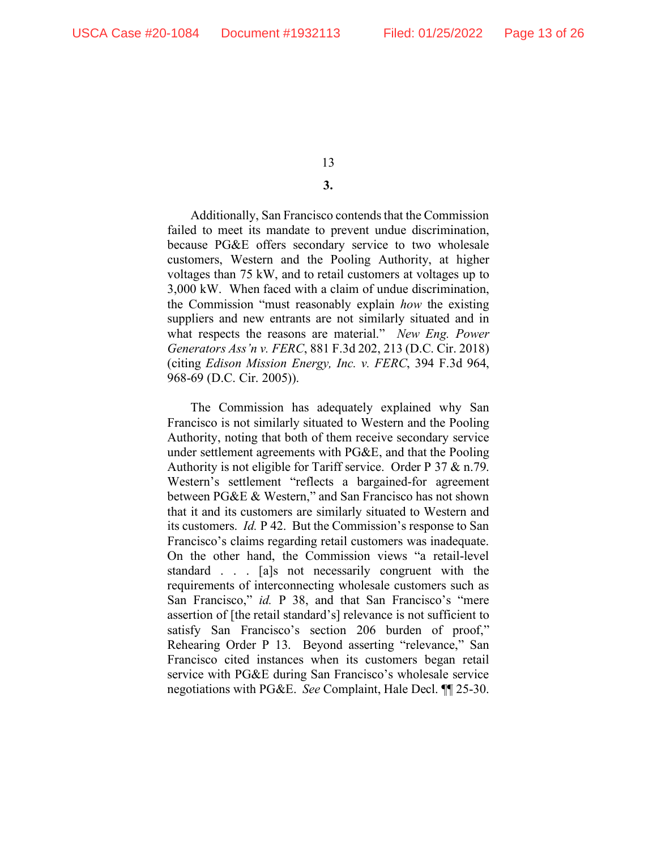# **3.**

Additionally, San Francisco contends that the Commission failed to meet its mandate to prevent undue discrimination, because PG&E offers secondary service to two wholesale customers, Western and the Pooling Authority, at higher voltages than 75 kW, and to retail customers at voltages up to 3,000 kW. When faced with a claim of undue discrimination, the Commission "must reasonably explain *how* the existing suppliers and new entrants are not similarly situated and in what respects the reasons are material." *New Eng. Power Generators Ass'n v. FERC*, 881 F.3d 202, 213 (D.C. Cir. 2018) (citing *Edison Mission Energy, Inc. v. FERC*, 394 F.3d 964, 968-69 (D.C. Cir. 2005)).

The Commission has adequately explained why San Francisco is not similarly situated to Western and the Pooling Authority, noting that both of them receive secondary service under settlement agreements with PG&E, and that the Pooling Authority is not eligible for Tariff service. Order P 37 & n.79. Western's settlement "reflects a bargained-for agreement between PG&E & Western," and San Francisco has not shown that it and its customers are similarly situated to Western and its customers. *Id.* P 42. But the Commission's response to San Francisco's claims regarding retail customers was inadequate. On the other hand, the Commission views "a retail-level standard . . . [a]s not necessarily congruent with the requirements of interconnecting wholesale customers such as San Francisco," *id.* P 38, and that San Francisco's "mere assertion of [the retail standard's] relevance is not sufficient to satisfy San Francisco's section 206 burden of proof," Rehearing Order P 13. Beyond asserting "relevance," San Francisco cited instances when its customers began retail service with PG&E during San Francisco's wholesale service negotiations with PG&E. *See* Complaint, Hale Decl. ¶¶ 25-30.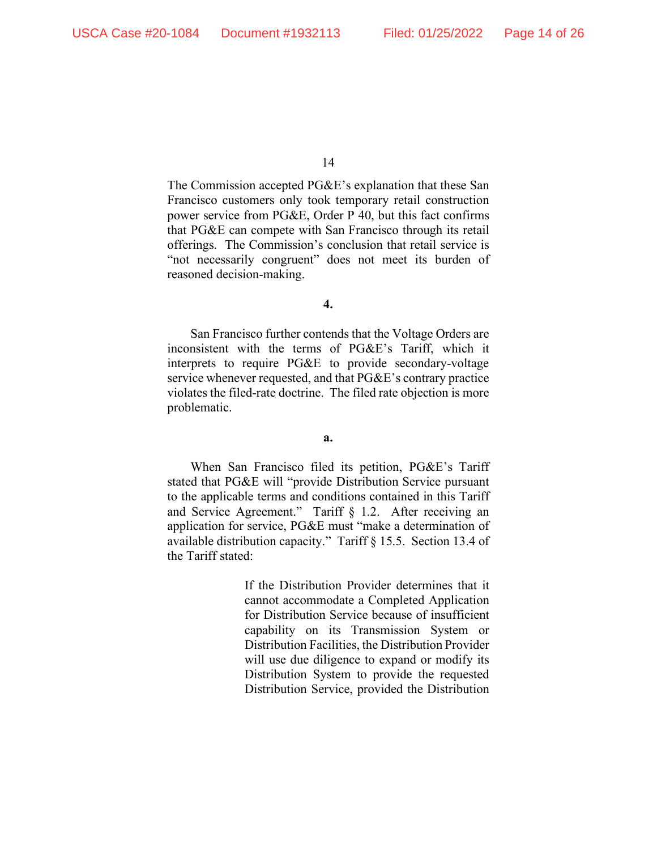The Commission accepted PG&E's explanation that these San Francisco customers only took temporary retail construction power service from PG&E, Order P 40, but this fact confirms that PG&E can compete with San Francisco through its retail offerings. The Commission's conclusion that retail service is "not necessarily congruent" does not meet its burden of reasoned decision-making.

**4.**

San Francisco further contends that the Voltage Orders are inconsistent with the terms of PG&E's Tariff, which it interprets to require PG&E to provide secondary-voltage service whenever requested, and that PG&E's contrary practice violates the filed-rate doctrine. The filed rate objection is more problematic.

**a.**

When San Francisco filed its petition, PG&E's Tariff stated that PG&E will "provide Distribution Service pursuant to the applicable terms and conditions contained in this Tariff and Service Agreement." Tariff § 1.2. After receiving an application for service, PG&E must "make a determination of available distribution capacity." Tariff § 15.5. Section 13.4 of the Tariff stated:

> If the Distribution Provider determines that it cannot accommodate a Completed Application for Distribution Service because of insufficient capability on its Transmission System or Distribution Facilities, the Distribution Provider will use due diligence to expand or modify its Distribution System to provide the requested Distribution Service, provided the Distribution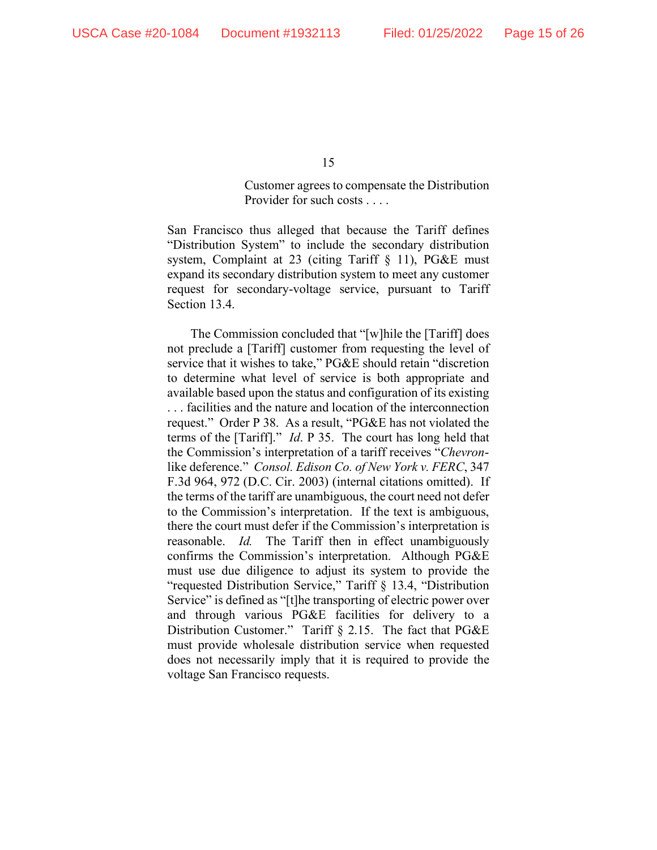Customer agrees to compensate the Distribution Provider for such costs . . . .

San Francisco thus alleged that because the Tariff defines "Distribution System" to include the secondary distribution system, Complaint at 23 (citing Tariff § 11), PG&E must expand its secondary distribution system to meet any customer request for secondary-voltage service, pursuant to Tariff Section 13.4.

The Commission concluded that "[w]hile the [Tariff] does not preclude a [Tariff] customer from requesting the level of service that it wishes to take," PG&E should retain "discretion to determine what level of service is both appropriate and available based upon the status and configuration of its existing . . . facilities and the nature and location of the interconnection request." Order P 38. As a result, "PG&E has not violated the terms of the [Tariff]." *Id*. P 35. The court has long held that the Commission's interpretation of a tariff receives "*Chevron*like deference." *Consol. Edison Co. of New York v. FERC*, 347 F.3d 964, 972 (D.C. Cir. 2003) (internal citations omitted). If the terms of the tariff are unambiguous, the court need not defer to the Commission's interpretation. If the text is ambiguous, there the court must defer if the Commission's interpretation is reasonable. *Id.* The Tariff then in effect unambiguously confirms the Commission's interpretation. Although PG&E must use due diligence to adjust its system to provide the "requested Distribution Service," Tariff § 13.4, "Distribution Service" is defined as "[t]he transporting of electric power over and through various PG&E facilities for delivery to a Distribution Customer." Tariff § 2.15. The fact that PG&E must provide wholesale distribution service when requested does not necessarily imply that it is required to provide the voltage San Francisco requests.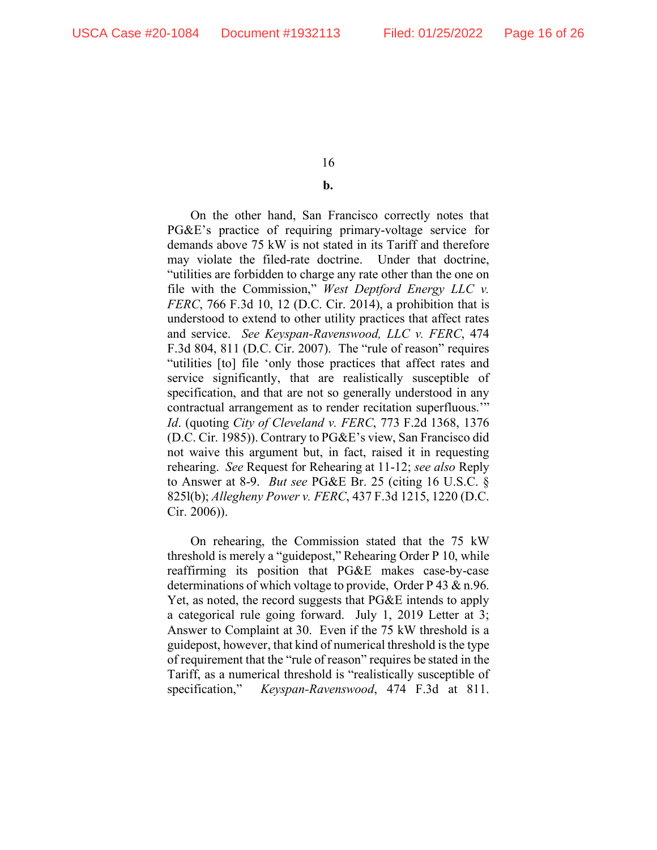#### **b.**

On the other hand, San Francisco correctly notes that PG&E's practice of requiring primary-voltage service for demands above 75 kW is not stated in its Tariff and therefore may violate the filed-rate doctrine. Under that doctrine, "utilities are forbidden to charge any rate other than the one on file with the Commission," *West Deptford Energy LLC v. FERC*, 766 F.3d 10, 12 (D.C. Cir. 2014), a prohibition that is understood to extend to other utility practices that affect rates and service. *See Keyspan-Ravenswood, LLC v. FERC*, 474 F.3d 804, 811 (D.C. Cir. 2007). The "rule of reason" requires "utilities [to] file 'only those practices that affect rates and service significantly, that are realistically susceptible of specification, and that are not so generally understood in any contractual arrangement as to render recitation superfluous.'" *Id*. (quoting *City of Cleveland v. FERC*, 773 F.2d 1368, 1376 (D.C. Cir. 1985)). Contrary to PG&E's view, San Francisco did not waive this argument but, in fact, raised it in requesting rehearing. *See* Request for Rehearing at 11-12; *see also* Reply to Answer at 8-9. *But see* PG&E Br. 25 (citing 16 U.S.C. § 825l(b); *Allegheny Power v. FERC*, 437 F.3d 1215, 1220 (D.C. Cir. 2006)).

On rehearing, the Commission stated that the 75 kW threshold is merely a "guidepost," Rehearing Order P 10, while reaffirming its position that PG&E makes case-by-case determinations of which voltage to provide, Order P 43 & n.96. Yet, as noted, the record suggests that PG&E intends to apply a categorical rule going forward. July 1, 2019 Letter at 3; Answer to Complaint at 30. Even if the 75 kW threshold is a guidepost, however, that kind of numerical threshold is the type of requirement that the "rule of reason" requires be stated in the Tariff, as a numerical threshold is "realistically susceptible of specification," *Keyspan-Ravenswood*, 474 F.3d at 811.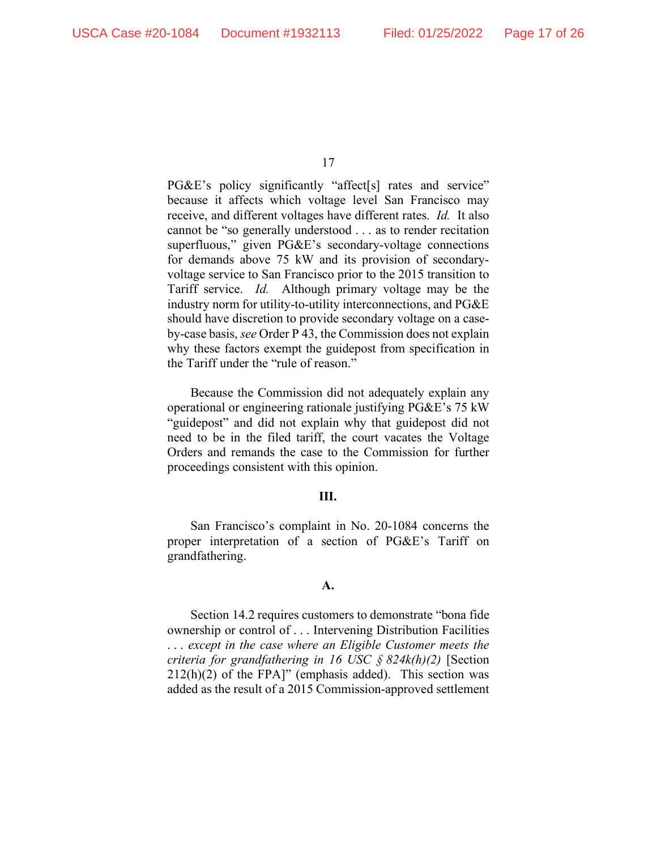PG&E's policy significantly "affect[s] rates and service" because it affects which voltage level San Francisco may receive, and different voltages have different rates. *Id.* It also cannot be "so generally understood . . . as to render recitation superfluous," given PG&E's secondary-voltage connections for demands above 75 kW and its provision of secondaryvoltage service to San Francisco prior to the 2015 transition to Tariff service. *Id.* Although primary voltage may be the industry norm for utility-to-utility interconnections, and PG&E should have discretion to provide secondary voltage on a caseby-case basis, *see* Order P 43, the Commission does not explain why these factors exempt the guidepost from specification in the Tariff under the "rule of reason."

Because the Commission did not adequately explain any operational or engineering rationale justifying PG&E's 75 kW "guidepost" and did not explain why that guidepost did not need to be in the filed tariff, the court vacates the Voltage Orders and remands the case to the Commission for further proceedings consistent with this opinion.

#### **III.**

San Francisco's complaint in No. 20-1084 concerns the proper interpretation of a section of PG&E's Tariff on grandfathering.

#### **A.**

Section 14.2 requires customers to demonstrate "bona fide ownership or control of . . . Intervening Distribution Facilities . . . *except in the case where an Eligible Customer meets the criteria for grandfathering in 16 USC § 824k(h)(2)* [Section  $212(h)(2)$  of the FPA]" (emphasis added). This section was added as the result of a 2015 Commission-approved settlement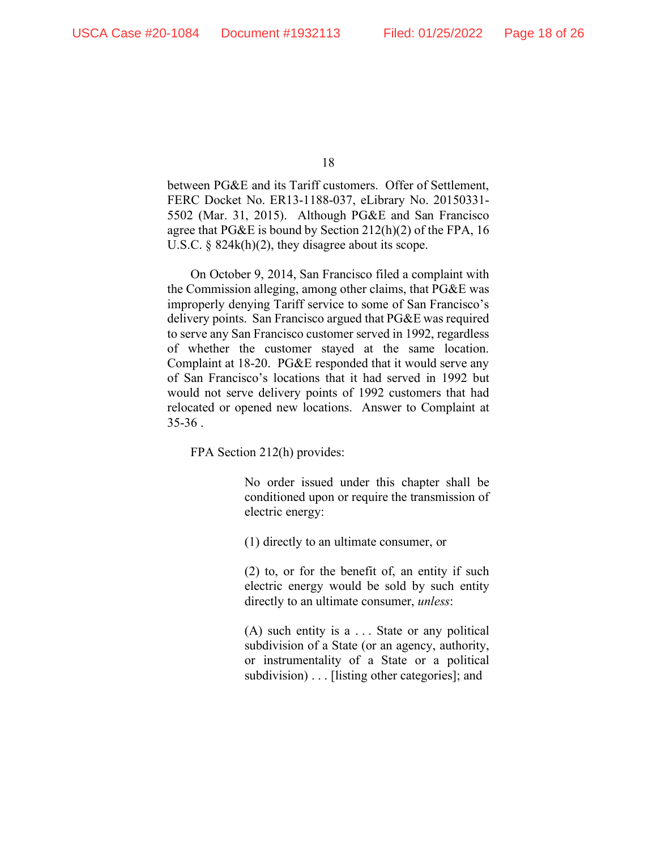between PG&E and its Tariff customers. Offer of Settlement, FERC Docket No. ER13-1188-037, eLibrary No. 20150331- 5502 (Mar. 31, 2015). Although PG&E and San Francisco agree that PG&E is bound by Section 212(h)(2) of the FPA, 16 U.S.C. § 824k(h)(2), they disagree about its scope.

On October 9, 2014, San Francisco filed a complaint with the Commission alleging, among other claims, that PG&E was improperly denying Tariff service to some of San Francisco's delivery points. San Francisco argued that PG&E was required to serve any San Francisco customer served in 1992, regardless of whether the customer stayed at the same location. Complaint at 18-20. PG&E responded that it would serve any of San Francisco's locations that it had served in 1992 but would not serve delivery points of 1992 customers that had relocated or opened new locations. Answer to Complaint at  $35-36$ .

FPA Section 212(h) provides:

No order issued under this chapter shall be conditioned upon or require the transmission of electric energy:

(1) directly to an ultimate consumer, or

(2) to, or for the benefit of, an entity if such electric energy would be sold by such entity directly to an ultimate consumer, *unless*:

(A) such entity is a . . . State or any political subdivision of a State (or an agency, authority, or instrumentality of a State or a political subdivision) . . . [listing other categories]; and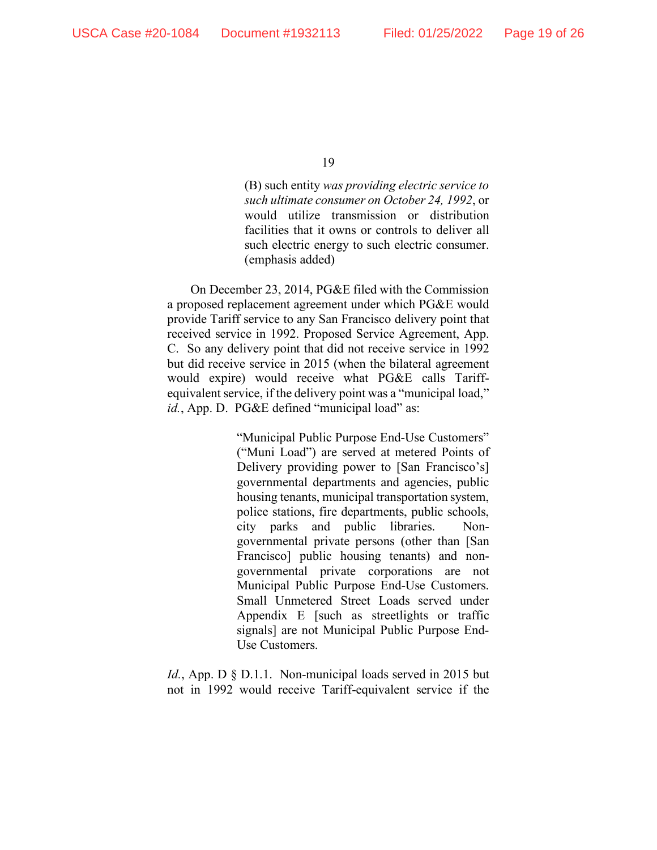(B) such entity *was providing electric service to such ultimate consumer on October 24, 1992*, or would utilize transmission or distribution facilities that it owns or controls to deliver all such electric energy to such electric consumer. (emphasis added)

On December 23, 2014, PG&E filed with the Commission a proposed replacement agreement under which PG&E would provide Tariff service to any San Francisco delivery point that received service in 1992. Proposed Service Agreement, App. C. So any delivery point that did not receive service in 1992 but did receive service in 2015 (when the bilateral agreement would expire) would receive what PG&E calls Tariffequivalent service, if the delivery point was a "municipal load," id., App. D. PG&E defined "municipal load" as:

> "Municipal Public Purpose End-Use Customers" ("Muni Load") are served at metered Points of Delivery providing power to [San Francisco's] governmental departments and agencies, public housing tenants, municipal transportation system, police stations, fire departments, public schools, city parks and public libraries. Nongovernmental private persons (other than [San Francisco] public housing tenants) and nongovernmental private corporations are not Municipal Public Purpose End-Use Customers. Small Unmetered Street Loads served under Appendix E [such as streetlights or traffic signals] are not Municipal Public Purpose End-Use Customers.

*Id.*, App. D § D.1.1. Non-municipal loads served in 2015 but not in 1992 would receive Tariff-equivalent service if the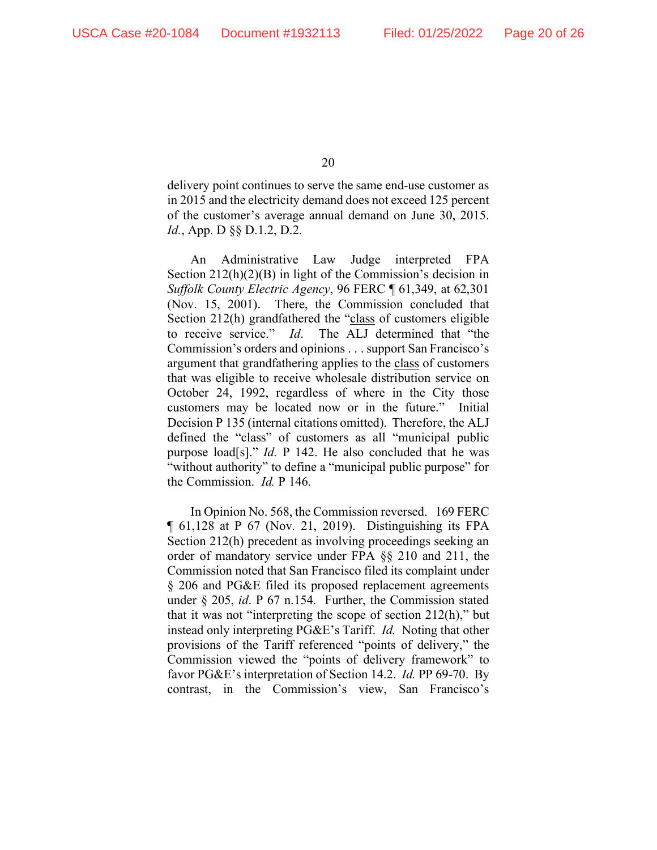delivery point continues to serve the same end-use customer as in 2015 and the electricity demand does not exceed 125 percent of the customer's average annual demand on June 30, 2015. *Id.*, App. D §§ D.1.2, D.2.

An Administrative Law Judge interpreted FPA Section 212(h)(2)(B) in light of the Commission's decision in *Suffolk County Electric Agency*, 96 FERC ¶ 61,349, at 62,301 (Nov. 15, 2001). There, the Commission concluded that Section 212(h) grandfathered the "class of customers eligible to receive service." *Id*. The ALJ determined that "the Commission's orders and opinions . . . support San Francisco's argument that grandfathering applies to the class of customers that was eligible to receive wholesale distribution service on October 24, 1992, regardless of where in the City those customers may be located now or in the future." Initial Decision P 135 (internal citations omitted). Therefore, the ALJ defined the "class" of customers as all "municipal public purpose load[s]." *Id.* P 142. He also concluded that he was "without authority" to define a "municipal public purpose" for the Commission. *Id.* P 146.

In Opinion No. 568, the Commission reversed. 169 FERC ¶ 61,128 at P 67 (Nov. 21, 2019). Distinguishing its FPA Section 212(h) precedent as involving proceedings seeking an order of mandatory service under FPA §§ 210 and 211, the Commission noted that San Francisco filed its complaint under § 206 and PG&E filed its proposed replacement agreements under § 205, *id*. P 67 n.154. Further, the Commission stated that it was not "interpreting the scope of section 212(h)," but instead only interpreting PG&E's Tariff. *Id.* Noting that other provisions of the Tariff referenced "points of delivery," the Commission viewed the "points of delivery framework" to favor PG&E's interpretation of Section 14.2. *Id.* PP 69-70. By contrast, in the Commission's view, San Francisco's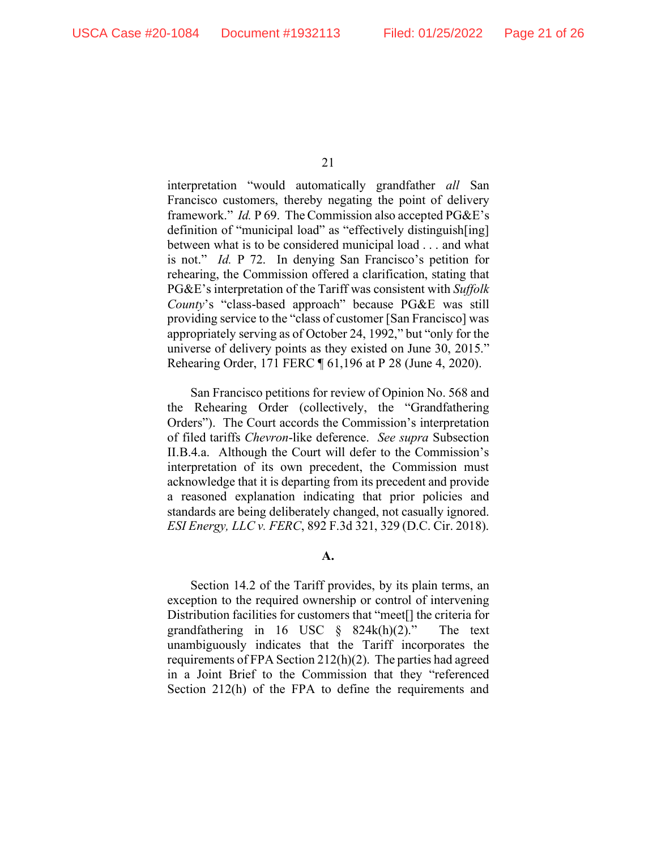interpretation "would automatically grandfather *all* San Francisco customers, thereby negating the point of delivery framework." *Id.* P 69. The Commission also accepted PG&E's definition of "municipal load" as "effectively distinguish[ing] between what is to be considered municipal load . . . and what is not." *Id.* P 72. In denying San Francisco's petition for rehearing, the Commission offered a clarification, stating that PG&E's interpretation of the Tariff was consistent with *Suffolk County*'s "class-based approach" because PG&E was still providing service to the "class of customer [San Francisco] was appropriately serving as of October 24, 1992," but "only for the universe of delivery points as they existed on June 30, 2015." Rehearing Order, 171 FERC ¶ 61,196 at P 28 (June 4, 2020).

San Francisco petitions for review of Opinion No. 568 and the Rehearing Order (collectively, the "Grandfathering Orders"). The Court accords the Commission's interpretation of filed tariffs *Chevron*-like deference. *See supra* Subsection II.B.4.a. Although the Court will defer to the Commission's interpretation of its own precedent, the Commission must acknowledge that it is departing from its precedent and provide a reasoned explanation indicating that prior policies and standards are being deliberately changed, not casually ignored. *ESI Energy, LLC v. FERC*, 892 F.3d 321, 329 (D.C. Cir. 2018).

**A.**

Section 14.2 of the Tariff provides, by its plain terms, an exception to the required ownership or control of intervening Distribution facilities for customers that "meet[] the criteria for grandfathering in 16 USC § 824k(h)(2)." The text unambiguously indicates that the Tariff incorporates the requirements of FPA Section 212(h)(2). The parties had agreed in a Joint Brief to the Commission that they "referenced Section 212(h) of the FPA to define the requirements and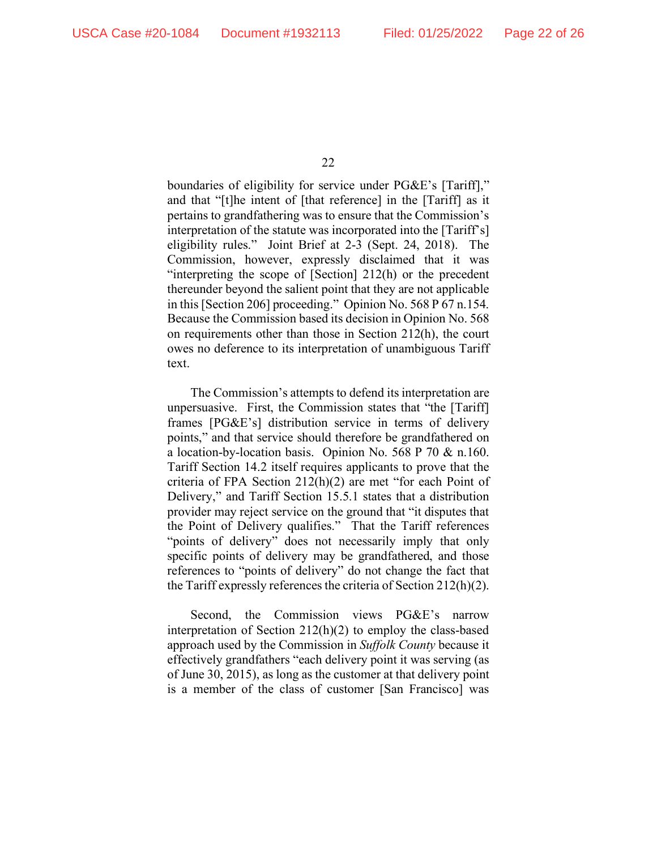boundaries of eligibility for service under PG&E's [Tariff]," and that "[t]he intent of [that reference] in the [Tariff] as it pertains to grandfathering was to ensure that the Commission's interpretation of the statute was incorporated into the [Tariff's] eligibility rules." Joint Brief at 2-3 (Sept. 24, 2018). The Commission, however, expressly disclaimed that it was "interpreting the scope of [Section] 212(h) or the precedent thereunder beyond the salient point that they are not applicable in this [Section 206] proceeding." Opinion No. 568 P 67 n.154. Because the Commission based its decision in Opinion No. 568 on requirements other than those in Section 212(h), the court owes no deference to its interpretation of unambiguous Tariff text.

The Commission's attempts to defend its interpretation are unpersuasive. First, the Commission states that "the [Tariff] frames [PG&E's] distribution service in terms of delivery points," and that service should therefore be grandfathered on a location-by-location basis. Opinion No. 568 P 70 & n.160. Tariff Section 14.2 itself requires applicants to prove that the criteria of FPA Section 212(h)(2) are met "for each Point of Delivery," and Tariff Section 15.5.1 states that a distribution provider may reject service on the ground that "it disputes that the Point of Delivery qualifies." That the Tariff references "points of delivery" does not necessarily imply that only specific points of delivery may be grandfathered, and those references to "points of delivery" do not change the fact that the Tariff expressly references the criteria of Section 212(h)(2).

Second, the Commission views PG&E's narrow interpretation of Section 212(h)(2) to employ the class-based approach used by the Commission in *Suffolk County* because it effectively grandfathers "each delivery point it was serving (as of June 30, 2015), as long as the customer at that delivery point is a member of the class of customer [San Francisco] was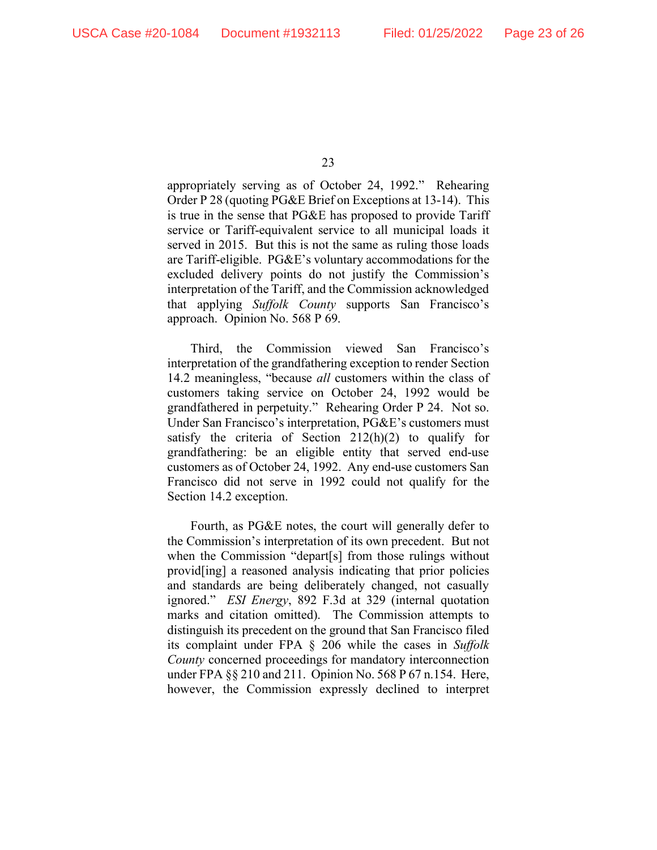appropriately serving as of October 24, 1992." Rehearing Order P 28 (quoting PG&E Brief on Exceptions at 13-14). This is true in the sense that PG&E has proposed to provide Tariff service or Tariff-equivalent service to all municipal loads it served in 2015. But this is not the same as ruling those loads are Tariff-eligible. PG&E's voluntary accommodations for the excluded delivery points do not justify the Commission's interpretation of the Tariff, and the Commission acknowledged that applying *Suffolk County* supports San Francisco's approach. Opinion No. 568 P 69.

Third, the Commission viewed San Francisco's interpretation of the grandfathering exception to render Section 14.2 meaningless, "because *all* customers within the class of customers taking service on October 24, 1992 would be grandfathered in perpetuity." Rehearing Order P 24. Not so. Under San Francisco's interpretation, PG&E's customers must satisfy the criteria of Section 212(h)(2) to qualify for grandfathering: be an eligible entity that served end-use customers as of October 24, 1992. Any end-use customers San Francisco did not serve in 1992 could not qualify for the Section 14.2 exception.

Fourth, as PG&E notes, the court will generally defer to the Commission's interpretation of its own precedent. But not when the Commission "depart[s] from those rulings without provid[ing] a reasoned analysis indicating that prior policies and standards are being deliberately changed, not casually ignored." *ESI Energy*, 892 F.3d at 329 (internal quotation marks and citation omitted). The Commission attempts to distinguish its precedent on the ground that San Francisco filed its complaint under FPA § 206 while the cases in *Suffolk County* concerned proceedings for mandatory interconnection under FPA §§ 210 and 211. Opinion No. 568 P 67 n.154. Here, however, the Commission expressly declined to interpret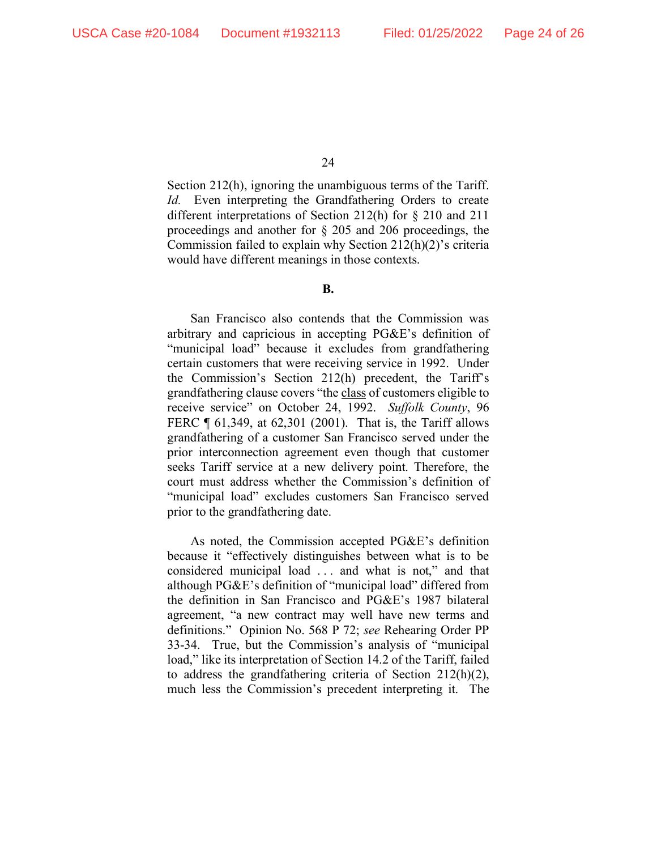Section 212(h), ignoring the unambiguous terms of the Tariff. *Id.* Even interpreting the Grandfathering Orders to create different interpretations of Section 212(h) for § 210 and 211 proceedings and another for § 205 and 206 proceedings, the Commission failed to explain why Section 212(h)(2)'s criteria would have different meanings in those contexts.

#### **B.**

San Francisco also contends that the Commission was arbitrary and capricious in accepting PG&E's definition of "municipal load" because it excludes from grandfathering certain customers that were receiving service in 1992. Under the Commission's Section 212(h) precedent, the Tariff's grandfathering clause covers "the class of customers eligible to receive service" on October 24, 1992. *Suffolk County*, 96 FERC ¶ 61,349, at 62,301 (2001). That is, the Tariff allows grandfathering of a customer San Francisco served under the prior interconnection agreement even though that customer seeks Tariff service at a new delivery point. Therefore, the court must address whether the Commission's definition of "municipal load" excludes customers San Francisco served prior to the grandfathering date.

As noted, the Commission accepted PG&E's definition because it "effectively distinguishes between what is to be considered municipal load . . . and what is not," and that although PG&E's definition of "municipal load" differed from the definition in San Francisco and PG&E's 1987 bilateral agreement, "a new contract may well have new terms and definitions." Opinion No. 568 P 72; *see* Rehearing Order PP 33-34. True, but the Commission's analysis of "municipal load," like its interpretation of Section 14.2 of the Tariff, failed to address the grandfathering criteria of Section 212(h)(2), much less the Commission's precedent interpreting it. The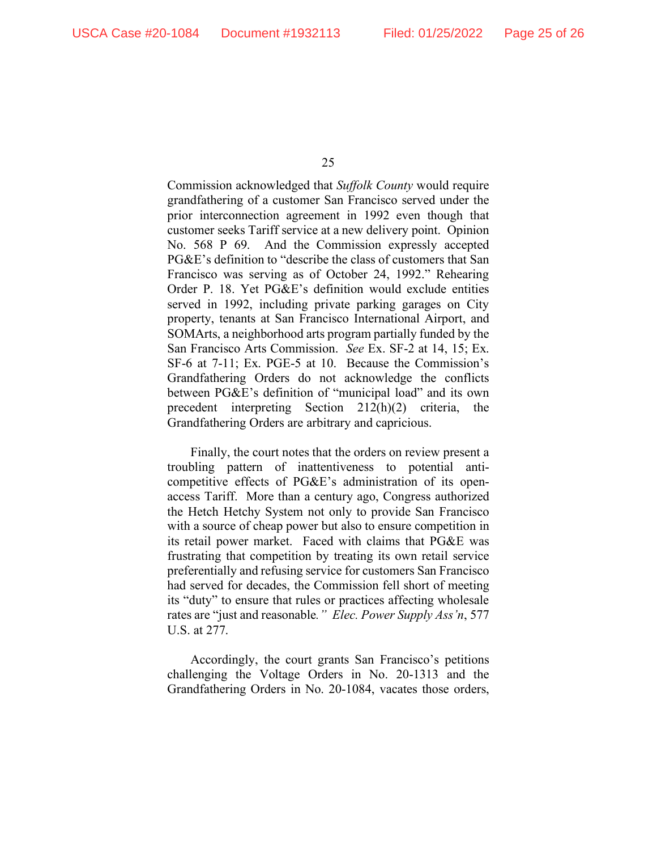Commission acknowledged that *Suffolk County* would require grandfathering of a customer San Francisco served under the prior interconnection agreement in 1992 even though that customer seeks Tariff service at a new delivery point. Opinion No. 568 P 69. And the Commission expressly accepted PG&E's definition to "describe the class of customers that San Francisco was serving as of October 24, 1992." Rehearing Order P. 18. Yet PG&E's definition would exclude entities served in 1992, including private parking garages on City property, tenants at San Francisco International Airport, and SOMArts, a neighborhood arts program partially funded by the San Francisco Arts Commission. *See* Ex. SF-2 at 14, 15; Ex. SF-6 at 7-11; Ex. PGE-5 at 10. Because the Commission's Grandfathering Orders do not acknowledge the conflicts between PG&E's definition of "municipal load" and its own precedent interpreting Section 212(h)(2) criteria, the Grandfathering Orders are arbitrary and capricious.

Finally, the court notes that the orders on review present a troubling pattern of inattentiveness to potential anticompetitive effects of PG&E's administration of its openaccess Tariff. More than a century ago, Congress authorized the Hetch Hetchy System not only to provide San Francisco with a source of cheap power but also to ensure competition in its retail power market. Faced with claims that PG&E was frustrating that competition by treating its own retail service preferentially and refusing service for customers San Francisco had served for decades, the Commission fell short of meeting its "duty" to ensure that rules or practices affecting wholesale rates are "just and reasonable*." Elec. Power Supply Ass'n*, 577 U.S. at 277.

Accordingly, the court grants San Francisco's petitions challenging the Voltage Orders in No. 20-1313 and the Grandfathering Orders in No. 20-1084, vacates those orders,